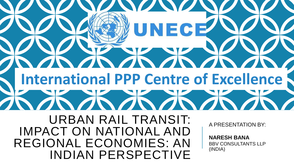**SOSS** EC  $\sqrt{N}$ **International PPP Centre of Excellence**NON ANGELIA URBAN RAIL TRANSIT: A PRESENTATION BY: IMPACT ON NATIONAL AND **NARESH BANA** REGIONAL ECONOMIES: AN BBV CONSULTANTS LLP (INDIA) INDIAN PERSPECTIVE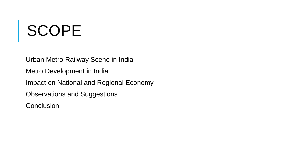# SCOPE

Urban Metro Railway Scene in India Metro Development in India Impact on National and Regional Economy Observations and Suggestions **Conclusion**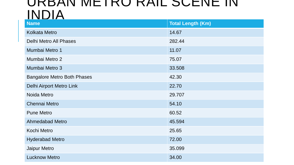### URBAN METRO RAIL SUENE IN INDIA

| <b>Name</b>                        | <b>Total Length (Km)</b> |
|------------------------------------|--------------------------|
| <b>Kolkata Metro</b>               | 14.67                    |
| <b>Delhi Metro All Phases</b>      | 282.44                   |
| Mumbai Metro 1                     | 11.07                    |
| Mumbai Metro 2                     | 75.07                    |
| Mumbai Metro 3                     | 33.508                   |
| <b>Bangalore Metro Both Phases</b> | 42.30                    |
| Delhi Airport Metro Link           | 22.70                    |
| Noida Metro                        | 29.707                   |
| <b>Chennai Metro</b>               | 54.10                    |
| <b>Pune Metro</b>                  | 60.52                    |
| <b>Ahmedabad Metro</b>             | 45.594                   |
| <b>Kochi Metro</b>                 | 25.65                    |
| <b>Hyderabad Metro</b>             | 72.00                    |
| <b>Jaipur Metro</b>                | 35.099                   |
| <b>Lucknow Metro</b>               | 34.00                    |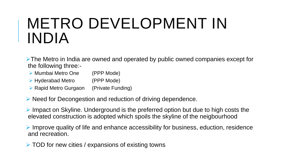## METRO DEVELOPMENT IN INDIA

**Example 7 Find Metro in India are owned and operated by public owned companies except for** the following three:-

- ▶ Mumbai Metro One (PPP Mode)
- ► Hyderabad Metro (PPP Mode)
- ▶ Rapid Metro Gurgaon (Private Funding)
- $\triangleright$  Need for Decongestion and reduction of driving dependence.

 $\triangleright$  Impact on Skyline. Underground is the preferred option but due to high costs the elevated construction is adopted which spoils the skyline of the neigbourhood

 $\triangleright$  Improve quality of life and enhance accessibility for business, eduction, residence and recreation.

 $\triangleright$  TOD for new cities / expansions of existing towns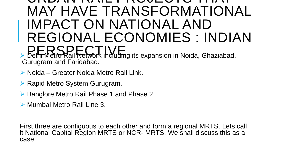### URBAN RAIL PROJECTS THAT MAY HAVE TRANSFORMATIONAL IMPACT ON NATIONAL AND REGIONAL ECONOMIES : INDIAN PERSPECTIVE Delhi Metro Rail Network including its expansion in Noida, Ghaziabad,

Gurugram and Faridabad.

- ▶ Noida Greater Noida Metro Rail Link.
- ▶ Rapid Metro System Gurugram.
- ▶ Banglore Metro Rail Phase 1 and Phase 2.
- ▶ Mumbai Metro Rail Line 3.

First three are contiguous to each other and form a regional MRTS. Lets call it National Capital Region MRTS or NCR- MRTS. We shall discuss this as a case.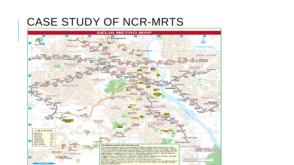### CASE STUDY OF NCR-MRTS

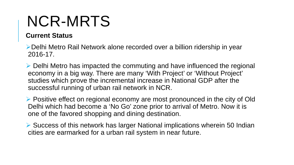## NCR-MRTS

#### **Current Status**

Delhi Metro Rail Network alone recorded over a billion ridership in year 2016-17.

 $\triangleright$  Delhi Metro has impacted the commuting and have influenced the regional economy in a big way. There are many 'With Project' or 'Without Project' studies which prove the incremental increase in National GDP after the successful running of urban rail network in NCR.

 $\triangleright$  Positive effect on regional economy are most pronounced in the city of Old Delhi which had become a 'No Go' zone prior to arrival of Metro. Now it is one of the favored shopping and dining destination.

 $\triangleright$  Success of this network has larger National implications wherein 50 Indian cities are earmarked for a urban rail system in near future.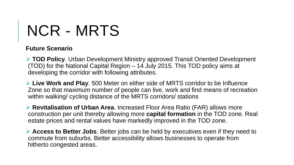# NCR - MRTS

#### **Future Scenario**

 **TOD Policy**. Urban Development Ministry approved Transit Oriented Development (TOD) for the National Capital Region – 14 July 2015. This TOD policy aims at developing the corridor with following attributes.

 **Live Work and Play**. 500 Meter on either side of MRTS corridor to be Influence Zone so that maximum number of people can live, work and find means of recreation within walking/ cycling distance of the MRTS corridors/ stations

 **Revitalisation of Urban Area**. Increased Floor Area Ratio (FAR) allows more construction per unit thereby allowing more **capital formation** in the TOD zone. Real estate prices and rental values have markedly improved in the TOD zone.

 **Access to Better Jobs**. Better jobs can be held by executives even if they need to commute from suburbs. Better accessibility allows businesses to operate from hitherto congested areas.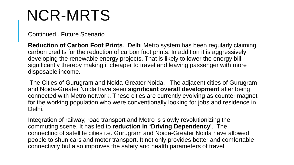## NCR-MRTS

#### Continued.. Future Scenario

**Reduction of Carbon Foot Prints**. Delhi Metro system has been regularly claiming carbon credits for the reduction of carbon foot prints. In addition it is aggressively developing the renewable energy projects. That is likely to lower the energy bill significantly thereby making it cheaper to travel and leaving passenger with more disposable income.

The Cities of Gurugram and Noida-Greater Noida. The adjacent cities of Gurugram and Noida-Greater Noida have seen **significant overall development** after being connected with Metro network. These cities are currently evolving as counter magnet for the working population who were conventionally looking for jobs and residence in Delhi.

Integration of railway, road transport and Metro is slowly revolutionizing the commuting scene. It has led to **reduction in 'Driving Dependency**'. The connecting of satellite cities i.e. Gurugram and Noida-Greater Noida have allowed people to shun cars and motor transport. It not only provides better and comfortable connectivity but also improves the safety and health parameters of travel.